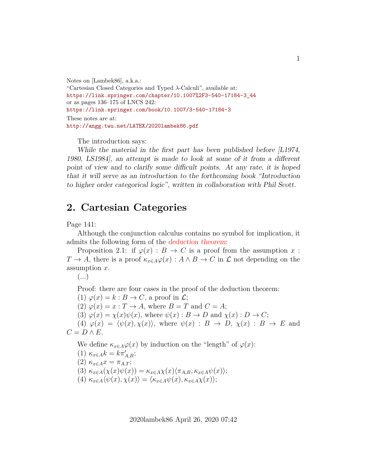Notes on [Lambek86], a.k.a.: "Cartesian Closed Categories and Typed λ-Calculi", available at: [https://link.springer.com/chapter/10.1007%2F3-540-17184-3\\_44](https://link.springer.com/chapter/10.1007%2F3-540-17184-3_44) or as pages 136–175 of LNCS 242: <https://link.springer.com/book/10.1007/3-540-17184-3> These notes are at: <http://angg.twu.net/LATEX/2020lambek86.pdf>

The introduction says:

While the material in the first part has been published before  $|L1974$ , 1980, LS1984], an attempt is made to look at some of it from a different point of view and to clarify some difficult points. At any rate, it is hoped that it will serve as an introduction to the forthcoming book "Introduction to higher order categorical logic", written in collaboration with Phil Scott.

## **2. Cartesian Categories**

Page 141:

Although the conjunction calculus contains no symbol for implication, it admits the following form of the deduction theorem:

Proposition 2.1: if  $\varphi(x) : B \to C$  is a proof from the assumption x:  $T \to A$ , there is a proof  $\kappa_{x \in A} \varphi(x) : A \wedge B \to C$  in  $\mathcal L$  not depending on the assumption x.

Proof: there are four cases in the proof of the deduction theorem:

(1)  $\varphi(x) = k : B \to C$ , a proof in  $\mathcal{L}$ ; (2)  $\varphi(x) = x : T \to A$ , where  $B = T$  and  $C = A$ ;

(3)  $\varphi(x) = \chi(x)\psi(x)$ , where  $\psi(x) : B \to D$  and  $\chi(x) : D \to C$ ;

(4)  $\varphi(x) = \langle \psi(x), \chi(x) \rangle$ , where  $\psi(x) : B \to D$ ,  $\chi(x) : B \to E$  and

 $C = D \wedge E$ .

We define  $\kappa_{x \in A} \varphi(x)$  by induction on the "length" of  $\varphi(x)$ :

(1)  $\kappa_{x\in A}k = k\pi'_{A,B};$ (2)  $\kappa_{x\in A}x = \pi_{A,T};$ (3)  $\kappa_{x\in A}(\chi(x)\psi(x)) = \kappa_{x\in A}\chi(x)\langle \pi_{A,B}, \kappa_{x\in A}\psi(x)\rangle;$ (4)  $\kappa_{x\in A}\langle \psi(x), \chi(x)\rangle = \langle \kappa_{x\in A}\psi(x), \kappa_{x\in A}\chi(x)\rangle;$ 

2020lambek86 April 26, 2020 07:42

 $\left(\ldots\right)$